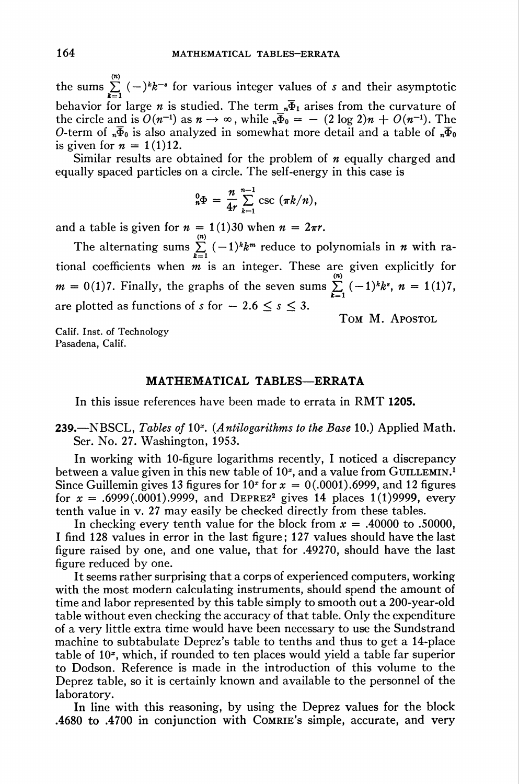the sums  $\sum_{k=0}^{\infty}$   $(-)^{k}k^{-s}$  for various integer values of s and their asymptotic behavior for large *n* is studied. The term  $\overline{n}$  arises from the curvature of the circle and is  $O(n^{-1})$  as  $n \to \infty$ , while  $\overline{n} = - (2 \log 2)n + O(n^{-1})$ . The O-term of  $\bar{\Phi}_0$  is also analyzed in somewhat more detail and a table of  $\bar{\Phi}_0$ is given for  $n = 1(1)12$ .

Similar results are obtained for the problem of  $n$  equally charged and equally spaced particles on a circle. The self-energy in this case is

$$
{}_{n}^{0}\Phi = \frac{n}{4r}\sum_{k=1}^{n-1} \csc(\pi k/n),
$$

and a table is given for  $n = 1(1)30$  when  $n = 2\pi r$ .

The alternating sums  $\sum_{k=1}^{\infty} (-1)^k k^m$  reduce to polynomials in *n* with rational coefficients when *m* is an integer. These are given explicitly for  $m = 0(1)7$ . Finally, the graphs of the seven sums  $\sum_{k=1}^{\infty} (-1)^k k^s$ ,  $n = 1(1)7$ are plotted as functions of  $s$  for  $-2.6 \leq s \leq 3$ .

TOM M. APOSTOL

Calif. Inst. of Technology Pasadena, Calif.

## MATHEMATICAL TABLES—ERRATA

In this issue references have been made to errata in RMT 1205.

239.—NBSCL, Tables of  $10<sup>x</sup>$ . (Antilogarithms to the Base 10.) Applied Math. Ser. No. 27. Washington, 1953.

In working with 10-figure logarithms recently, I noticed a discrepancy between a value given in this new table of  $10<sup>x</sup>$ , and a value from GUILLEMIN.<sup>1</sup> Since Guillemin gives 13 figures for  $10^x$  for  $x = 0(0.0001)$ .6999, and 12 figures for  $x = .6999(.0001).9999$ , and DEPREZ<sup>2</sup> gives 14 places 1(1)9999, every tenth value in v. 27 may easily be checked directly from these tables.

In checking every tenth value for the block from  $x = .40000$  to .50000, I find 128 values in error in the last figure; 127 values should have the last figure raised by one, and one value, that for .49270, should have the last figure reduced by one.

It seems rather surprising that a corps of experienced computers, working with the most modern calculating instruments, should spend the amount of time and labor represented by this table simply to smooth out a 200-year-old table without even checking the accuracy of that table. Only the expenditure of a very little extra time would have been necessary to use the Sundstrand machine to subtabulate Deprez's table to tenths and thus to get a 14-place table of 10\*, which, if rounded to ten places would yield a table far superior to Dodson. Reference is made in the introduction of this volume to the Deprez table, so it is certainly known and available to the personnel of the laboratory.

In line with this reasoning, by using the Deprez values for the block .4680 to .4700 in conjunction with Comrie's simple, accurate, and very